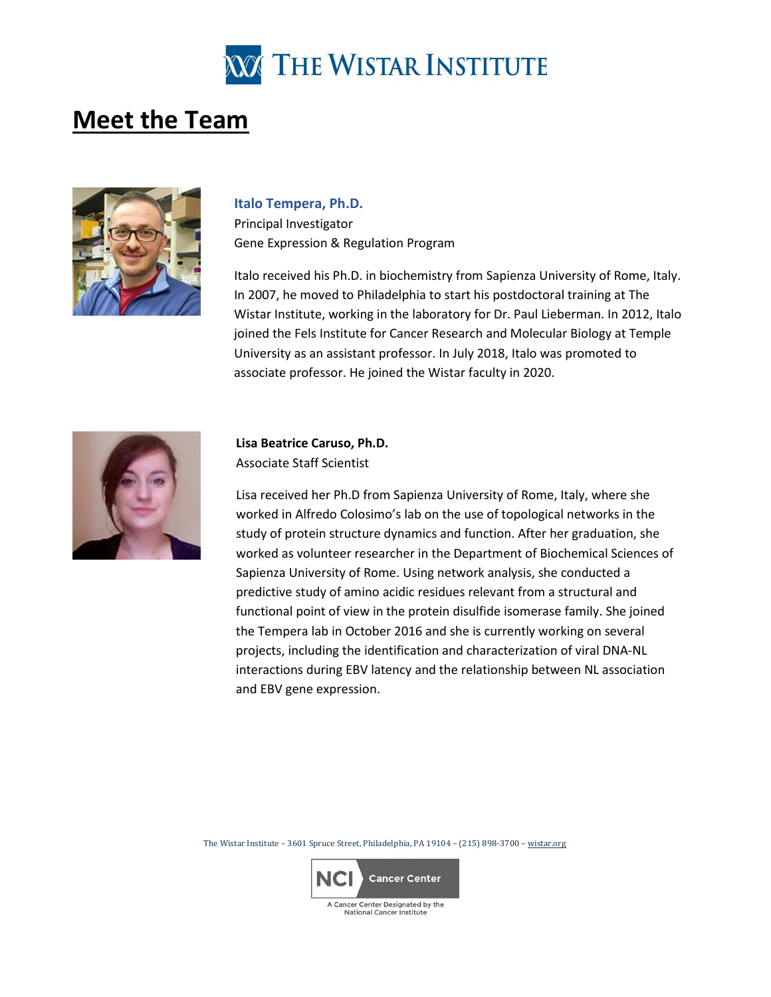

# **Meet the Team**



#### **Italo Tempera, Ph.D.**

Principal Investigator Gene Expression & Regulation Program

Italo received his Ph.D. in biochemistry from Sapienza University of Rome, Italy. In 2007, he moved to Philadelphia to start his postdoctoral training at The Wistar Institute, working in the laboratory for Dr. Paul Lieberman. In 2012, Italo joined the Fels Institute for Cancer Research and Molecular Biology at Temple University as an assistant professor. In July 2018, Italo was promoted to associate professor. He joined the Wistar faculty in 2020.



## **Lisa Beatrice Caruso, Ph.D.** Associate Staff Scientist

Lisa received her Ph.D from Sapienza University of Rome, Italy, where she worked in Alfredo Colosimo's lab on the use of topological networks in the study of protein structure dynamics and function. After her graduation, she worked as volunteer researcher in the Department of Biochemical Sciences of Sapienza University of Rome. Using network analysis, she conducted a predictive study of amino acidic residues relevant from a structural and functional point of view in the protein disulfide isomerase family. She joined the Tempera lab in October 2016 and she is currently working on several projects, including the identification and characterization of viral DNA-NL interactions during EBV latency and the relationship between NL association and EBV gene expression.

The Wistar Institute – 3601 Spruce Street, Philadelphia, PA 19104 – (215) 898-3700 – [wistar.org](http://www.wistar.org/)

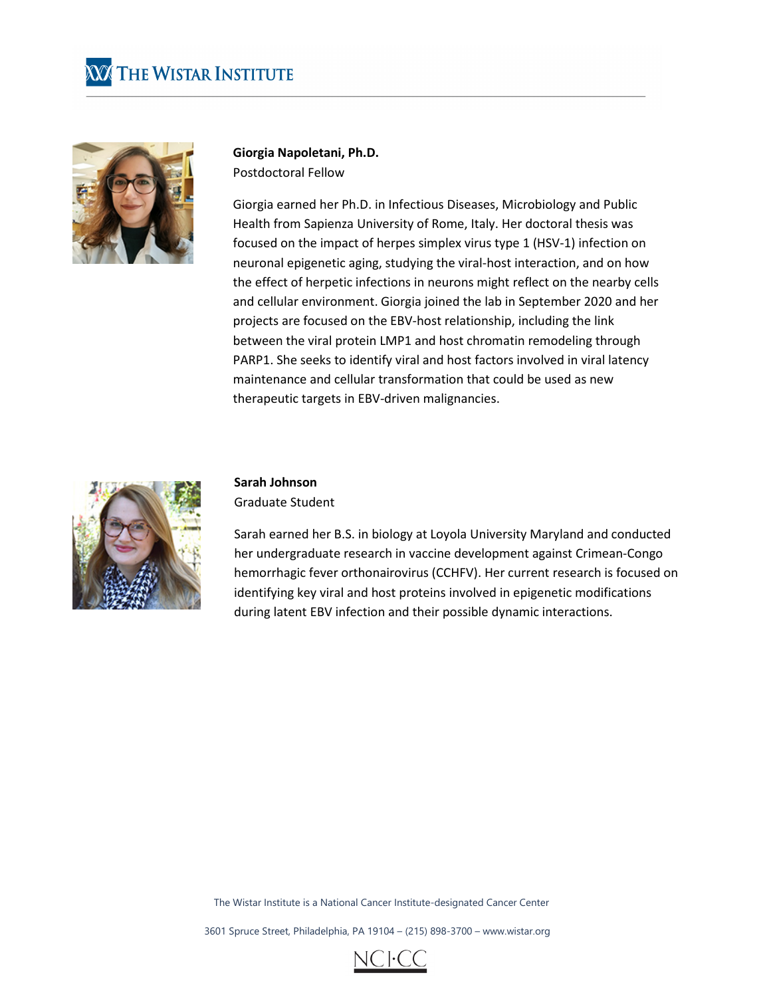



**Giorgia Napoletani, Ph.D.** Postdoctoral Fellow

Giorgia earned her Ph.D. in Infectious Diseases, Microbiology and Public Health from Sapienza University of Rome, Italy. Her doctoral thesis was focused on the impact of herpes simplex virus type 1 (HSV-1) infection on neuronal epigenetic aging, studying the viral-host interaction, and on how the effect of herpetic infections in neurons might reflect on the nearby cells and cellular environment. Giorgia joined the lab in September 2020 and her projects are focused on the EBV-host relationship, including the link between the viral protein LMP1 and host chromatin remodeling through PARP1. She seeks to identify viral and host factors involved in viral latency maintenance and cellular transformation that could be used as new therapeutic targets in EBV-driven malignancies.



#### **Sarah Johnson**

Graduate Student

Sarah earned her B.S. in biology at Loyola University Maryland and conducted her undergraduate research in vaccine development against Crimean-Congo hemorrhagic fever orthonairovirus (CCHFV). Her current research is focused on identifying key viral and host proteins involved in epigenetic modifications during latent EBV infection and their possible dynamic interactions.

The Wistar Institute is a National Cancer Institute-designated Cancer Center

3601 Spruce Street, Philadelphia, PA 19104 – (215) 898-3700 – www.wistar.org